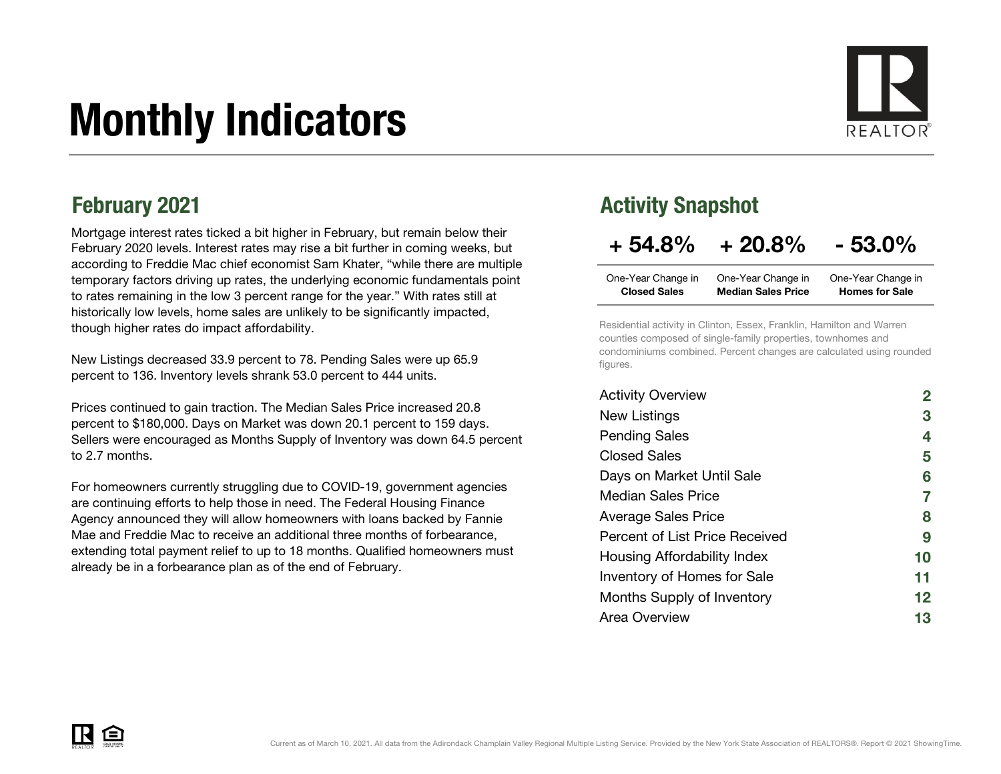# Monthly Indicators



Mortgage interest rates ticked a bit higher in February, but remain below their February 2020 levels. Interest rates may rise a bit further in coming weeks, but according to Freddie Mac chief economist Sam Khater, "while there are multiple temporary factors driving up rates, the underlying economic fundamentals point to rates remaining in the low 3 percent range for the year." With rates still at historically low levels, home sales are unlikely to be significantly impacted, though higher rates do impact affordability.

New Listings decreased 33.9 percent to 78. Pending Sales were up 65.9 percent to 136. Inventory levels shrank 53.0 percent to 444 units.

Prices continued to gain traction. The Median Sales Price increased 20.8 percent to \$180,000. Days on Market was down 20.1 percent to 159 days. Sellers were encouraged as Months Supply of Inventory was down 64.5 percent to 2.7 months.

For homeowners currently struggling due to COVID-19, government agencies are continuing efforts to help those in need. The Federal Housing Finance Agency announced they will allow homeowners with loans backed by Fannie Mae and Freddie Mac to receive an additional three months of forbearance, extending total payment relief to up to 18 months. Qualified homeowners must already be in a forbearance plan as of the end of February.

### February 2021 **Activity Snapshot**

### $+ 54.8\% + 20.8\% - 53.0\%$

| One-Year Change in  | One-Year Change in        | One-Year Change in    |
|---------------------|---------------------------|-----------------------|
| <b>Closed Sales</b> | <b>Median Sales Price</b> | <b>Homes for Sale</b> |

Residential activity in Clinton, Essex, Franklin, Hamilton and Warren counties composed of single-family properties, townhomes and condominiums combined. Percent changes are calculated using rounded figures.

| <b>Activity Overview</b>           |                   |
|------------------------------------|-------------------|
| New Listings                       | 3                 |
| <b>Pending Sales</b>               | 4                 |
| <b>Closed Sales</b>                | 5                 |
| Days on Market Until Sale          | 6                 |
| <b>Median Sales Price</b>          | $\overline{7}$    |
| <b>Average Sales Price</b>         | 8                 |
| Percent of List Price Received     | 9                 |
| Housing Affordability Index        | 10                |
| <b>Inventory of Homes for Sale</b> | 11                |
| Months Supply of Inventory         | $12 \ \mathsf{ }$ |
| Area Overview                      | 13                |

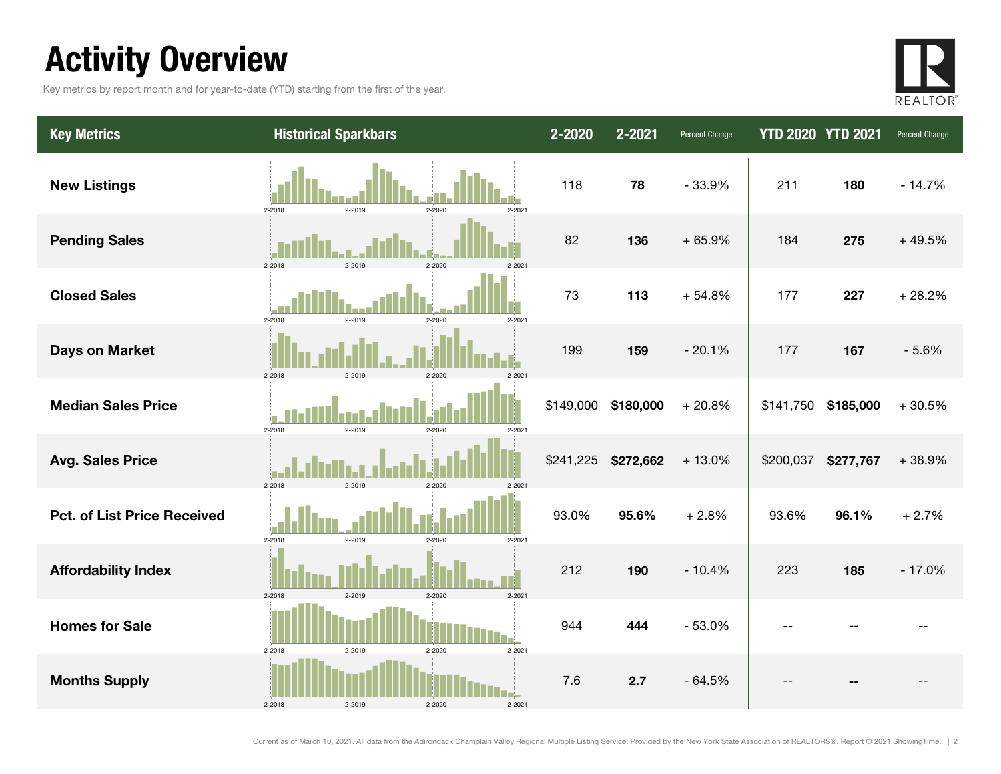## Activity Overview

Key metrics by report month and for year-to-date (YTD) starting from the first of the year.



| <b>Key Metrics</b>                 | <b>Historical Sparkbars</b>                  | 2-2020    | 2-2021    | Percent Change | <b>YTD 2020 YTD 2021</b> |           | Percent Change |
|------------------------------------|----------------------------------------------|-----------|-----------|----------------|--------------------------|-----------|----------------|
| <b>New Listings</b>                | $2 - 2018$<br>2-2019<br>$2 - 2021$<br>2-2020 | 118       | 78        | $-33.9%$       | 211                      | 180       | $-14.7%$       |
| <b>Pending Sales</b>               | 2-2018<br>2-2019<br>2-2020<br>$2 - 202$      | 82        | 136       | $+65.9%$       | 184                      | 275       | $+49.5%$       |
| <b>Closed Sales</b>                | $2 - 2018$<br>$2 - 2019$<br>2-2020<br>2-2021 | 73        | 113       | $+54.8%$       | 177                      | 227       | $+28.2%$       |
| <b>Days on Market</b>              | $2 - 2018$<br>2-2019<br>2-2020<br>$2 - 202$  | 199       | 159       | $-20.1%$       | 177                      | 167       | $-5.6%$        |
| <b>Median Sales Price</b>          | 2-2018<br>2-2019<br>2-2020<br>$2 - 2021$     | \$149,000 | \$180,000 | $+20.8%$       | \$141,750                | \$185,000 | $+30.5%$       |
| <b>Avg. Sales Price</b>            | $2 - 2018$<br>2-2019<br>$2 - 2020$           | \$241,225 | \$272,662 | $+13.0%$       | \$200,037                | \$277,767 | $+38.9%$       |
| <b>Pct. of List Price Received</b> | 2-2018<br>2-2019<br>2-2020<br>$2 - 2021$     | 93.0%     | 95.6%     | $+2.8%$        | 93.6%                    | 96.1%     | $+2.7%$        |
| <b>Affordability Index</b>         | 2-2018<br>$2 - 2021$<br>2-2019<br>2-2020     | 212       | 190       | $-10.4%$       | 223                      | 185       | $-17.0%$       |
| <b>Homes for Sale</b>              | $2 - 2021$<br>2-2019<br>2-2020<br>2-2018     | 944       | 444       | $-53.0%$       | $-$                      |           |                |
| <b>Months Supply</b>               | 2-2018<br>$2 - 2021$                         | 7.6       | 2.7       | $-64.5%$       |                          |           |                |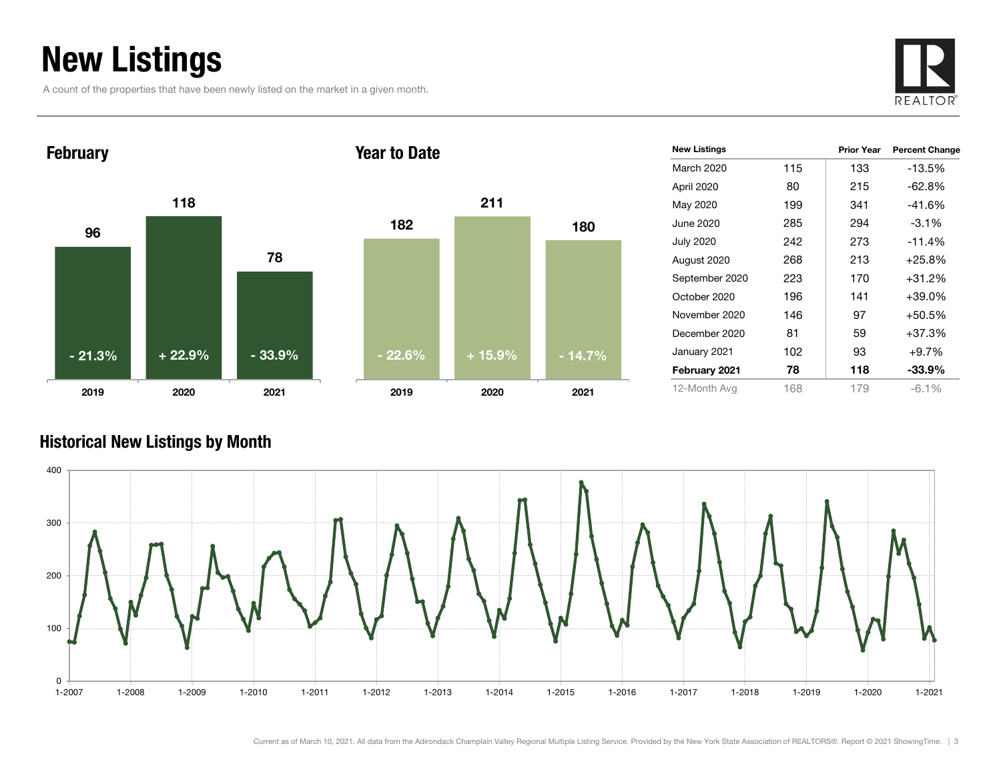### New Listings

A count of the properties that have been newly listed on the market in a given month.





| <b>New Listings</b> |     | <b>Prior Year</b> | <b>Percent Change</b> |
|---------------------|-----|-------------------|-----------------------|
| March 2020          | 115 | 133               | $-13.5\%$             |
| April 2020          | 80  | 215               | $-62.8%$              |
| May 2020            | 199 | 341               | $-41.6%$              |
| June 2020           | 285 | 294               | $-3.1%$               |
| <b>July 2020</b>    | 242 | 273               | $-11.4%$              |
| August 2020         | 268 | 213               | $+25.8%$              |
| September 2020      | 223 | 170               | +31.2%                |
| October 2020        | 196 | 141               | +39.0%                |
| November 2020       | 146 | 97                | +50.5%                |
| December 2020       | 81  | 59                | +37.3%                |
| January 2021        | 102 | 93                | $+9.7%$               |
| February 2021       | 78  | 118               | $-33.9%$              |
| 12-Month Avg        | 168 | 179               | $-6.1%$               |

### Historical New Listings by Month

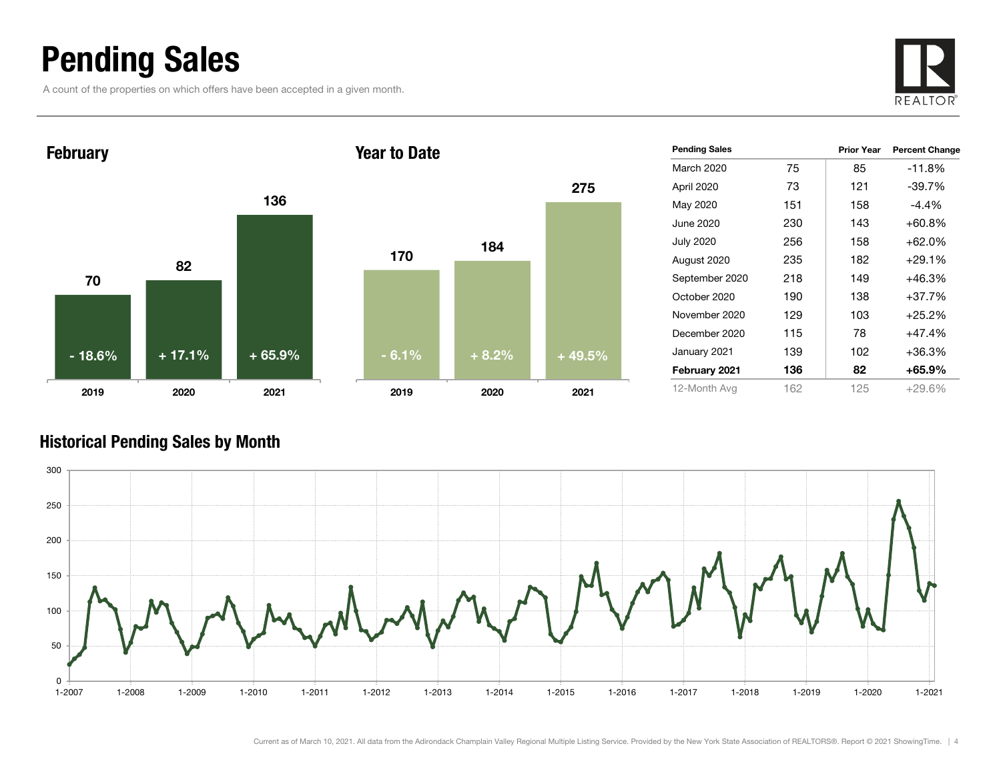### Pending Sales

A count of the properties on which offers have been accepted in a given month.





| <b>Pending Sales</b> |     | <b>Prior Year</b> | <b>Percent Change</b> |
|----------------------|-----|-------------------|-----------------------|
| March 2020           | 75  | 85                | -11.8%                |
| April 2020           | 73  | 121               | $-39.7%$              |
| May 2020             | 151 | 158               | $-4.4\%$              |
| June 2020            | 230 | 143               | $+60.8%$              |
| <b>July 2020</b>     | 256 | 158               | $+62.0%$              |
| August 2020          | 235 | 182               | $+29.1%$              |
| September 2020       | 218 | 149               | $+46.3%$              |
| October 2020         | 190 | 138               | $+37.7%$              |
| November 2020        | 129 | 103               | $+25.2%$              |
| December 2020        | 115 | 78                | $+47.4%$              |
| January 2021         | 139 | 102               | $+36.3%$              |
| February 2021        | 136 | 82                | $+65.9\%$             |
| 12-Month Avg         | 162 | 125               | $+29.6\%$             |

### Historical Pending Sales by Month

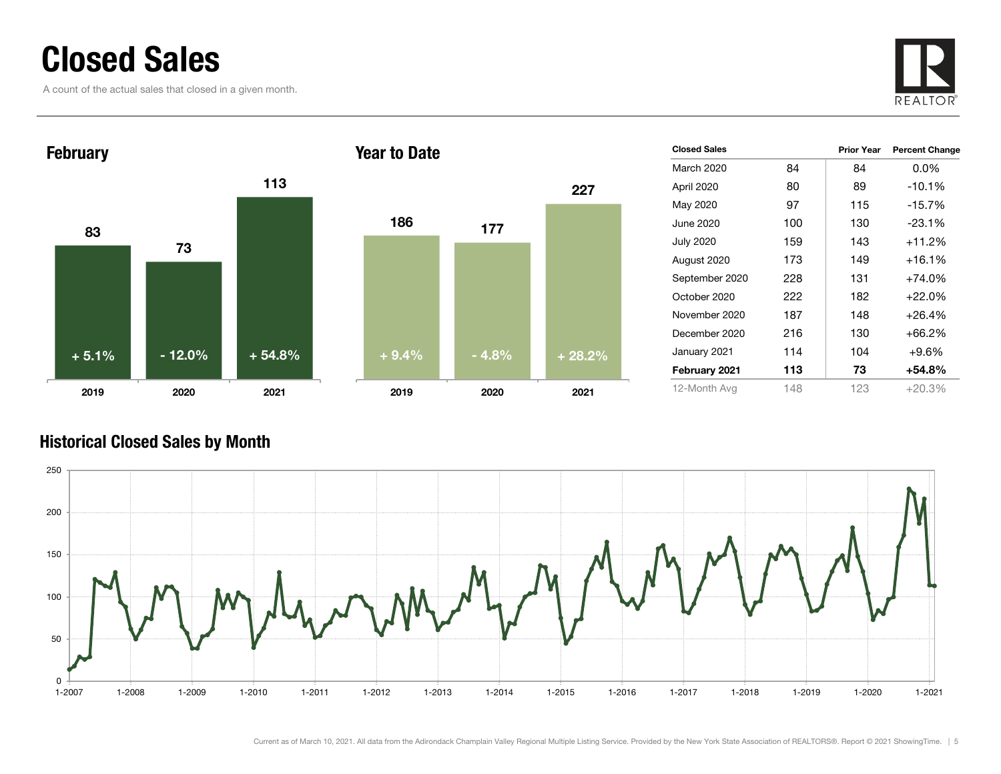### Closed Sales

A count of the actual sales that closed in a given month.





|         |         | 227      |
|---------|---------|----------|
| 186     | 177     |          |
|         |         |          |
|         |         |          |
|         |         |          |
| $+9.4%$ | $-4.8%$ | $+28.2%$ |
| 2019    | 2020    | 2021     |

| <b>Closed Sales</b> |     | <b>Prior Year</b> | <b>Percent Change</b> |
|---------------------|-----|-------------------|-----------------------|
| March 2020          | 84  | 84                | $0.0\%$               |
| April 2020          | 80  | 89                | $-10.1%$              |
| May 2020            | 97  | 115               | $-15.7%$              |
| June 2020           | 100 | 130               | $-23.1%$              |
| <b>July 2020</b>    | 159 | 143               | $+11.2%$              |
| August 2020         | 173 | 149               | $+16.1%$              |
| September 2020      | 228 | 131               | $+74.0%$              |
| October 2020        | 222 | 182               | $+22.0%$              |
| November 2020       | 187 | 148               | $+26.4%$              |
| December 2020       | 216 | 130               | +66.2%                |
| January 2021        | 114 | 104               | $+9.6%$               |
| February 2021       | 113 | 73                | +54.8%                |
| 12-Month Avg        | 148 | 123               | +20.3%                |

### Historical Closed Sales by Month

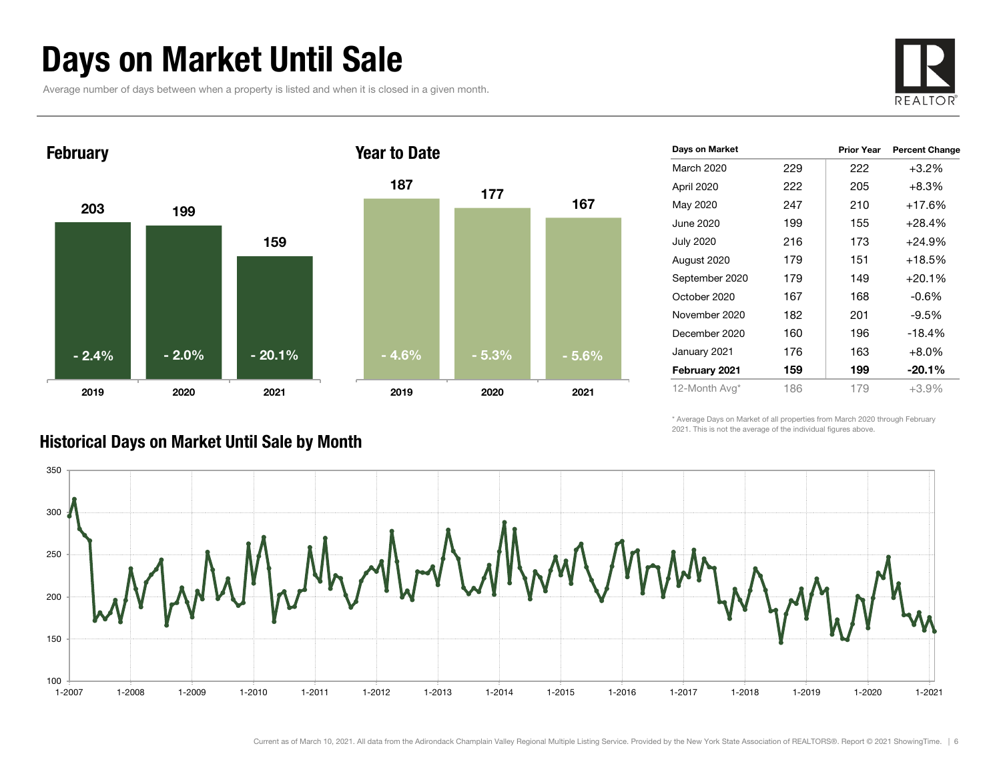### Days on Market Until Sale

Average number of days between when a property is listed and when it is closed in a given month.





| Days on Market   |     | <b>Prior Year</b> | <b>Percent Change</b> |
|------------------|-----|-------------------|-----------------------|
| March 2020       | 229 | 222               | $+3.2\%$              |
| April 2020       | 222 | 205               | $+8.3%$               |
| May 2020         | 247 | 210               | $+17.6%$              |
| June 2020        | 199 | 155               | $+28.4%$              |
| <b>July 2020</b> | 216 | 173               | $+24.9%$              |
| August 2020      | 179 | 151               | $+18.5%$              |
| September 2020   | 179 | 149               | $+20.1%$              |
| October 2020     | 167 | 168               | $-0.6%$               |
| November 2020    | 182 | 201               | $-9.5\%$              |
| December 2020    | 160 | 196               | $-18.4%$              |
| January 2021     | 176 | 163               | $+8.0%$               |
| February 2021    | 159 | 199               | $-20.1\%$             |
| 12-Month Avg*    | 186 | 179               | $+3.9%$               |

\* Average Days on Market of all properties from March 2020 through February 2021. This is not the average of the individual figures above.

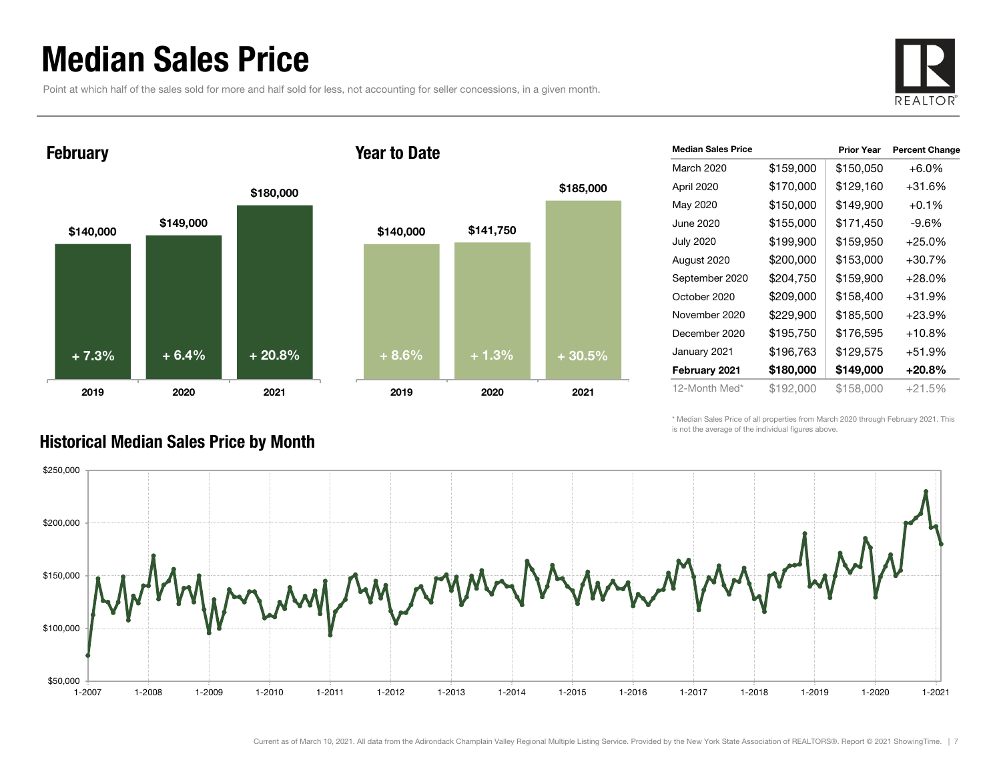### Median Sales Price

Point at which half of the sales sold for more and half sold for less, not accounting for seller concessions, in a given month.



#### February





| <b>Median Sales Price</b> |           | <b>Prior Year</b> | <b>Percent Change</b> |
|---------------------------|-----------|-------------------|-----------------------|
| March 2020                | \$159,000 | \$150,050         | $+6.0%$               |
| April 2020                | \$170,000 | \$129,160         | +31.6%                |
| May 2020                  | \$150,000 | \$149,900         | $+0.1\%$              |
| June 2020.                | \$155,000 | \$171,450         | $-9.6%$               |
| <b>July 2020</b>          | \$199,900 | \$159,950         | $+25.0\%$             |
| August 2020               | \$200,000 | \$153,000         | +30.7%                |
| September 2020            | \$204,750 | \$159,900         | $+28.0\%$             |
| October 2020              | \$209,000 | \$158,400         | +31.9%                |
| November 2020             | \$229,900 | \$185,500         | $+23.9%$              |
| December 2020             | \$195,750 | \$176,595         | $+10.8\%$             |
| January 2021              | \$196,763 | \$129,575         | +51.9%                |
| February 2021             | \$180,000 | \$149,000         | +20.8%                |
| 12-Month Med*             | \$192,000 | \$158,000         | $+21.5%$              |

\* Median Sales Price of all properties from March 2020 through February 2021. This is not the average of the individual figures above.



#### Historical Median Sales Price by Month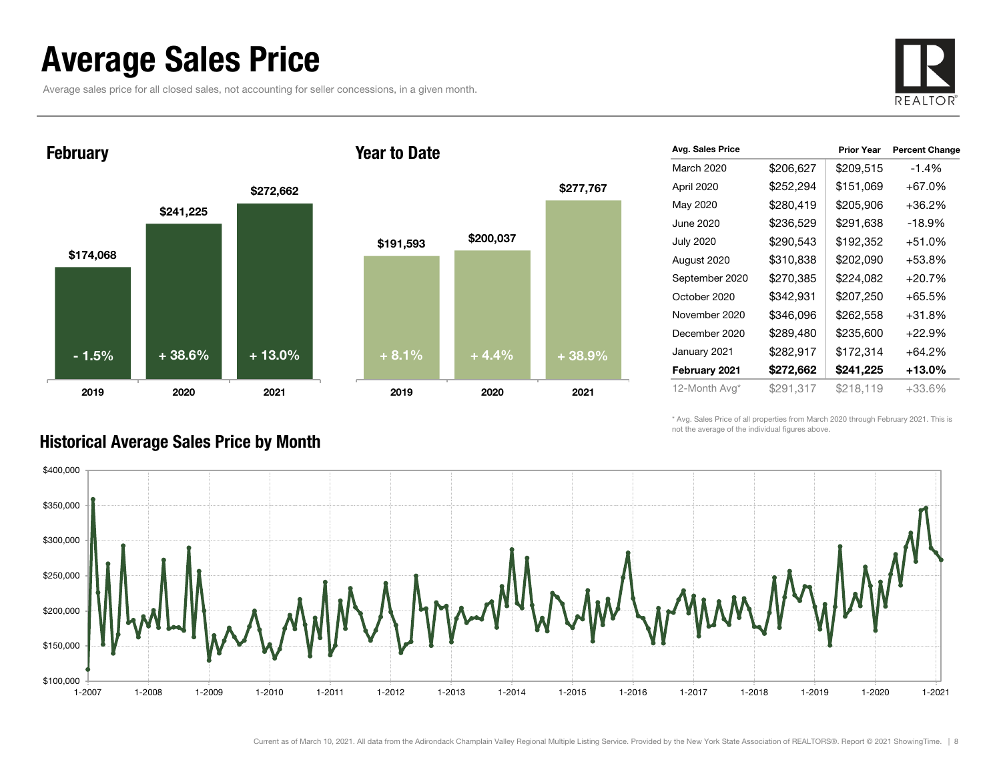### Average Sales Price

Average sales price for all closed sales, not accounting for seller concessions, in a given month.



\$174,068 \$241,225 \$272,662 2019 2020 2021 February 2019- 1.5% $\%$  | +38.6% | +13.0% | +8.1% | +4.4% | +38.9%

#### Year to Date



| Avg. Sales Price |           | <b>Prior Year</b> | <b>Percent Change</b> |
|------------------|-----------|-------------------|-----------------------|
| March 2020       | \$206,627 | \$209,515         | $-1.4%$               |
| April 2020       | \$252,294 | \$151,069         | +67.0%                |
| May 2020         | \$280,419 | \$205,906         | +36.2%                |
| June 2020        | \$236,529 | \$291,638         | $-18.9%$              |
| <b>July 2020</b> | \$290,543 | \$192,352         | +51.0%                |
| August 2020      | \$310,838 | \$202,090         | +53.8%                |
| September 2020   | \$270,385 | \$224,082         | $+20.7%$              |
| October 2020     | \$342,931 | \$207,250         | +65.5%                |
| November 2020    | \$346,096 | \$262,558         | +31.8%                |
| December 2020    | \$289,480 | \$235,600         | $+22.9%$              |
| January 2021     | \$282,917 | \$172,314         | +64.2%                |
| February 2021    | \$272,662 | \$241,225         | +13.0%                |
| 12-Month Avg*    | \$291,317 | \$218,119         | +33.6%                |

\* Avg. Sales Price of all properties from March 2020 through February 2021. This is not the average of the individual figures above.



#### Historical Average Sales Price by Month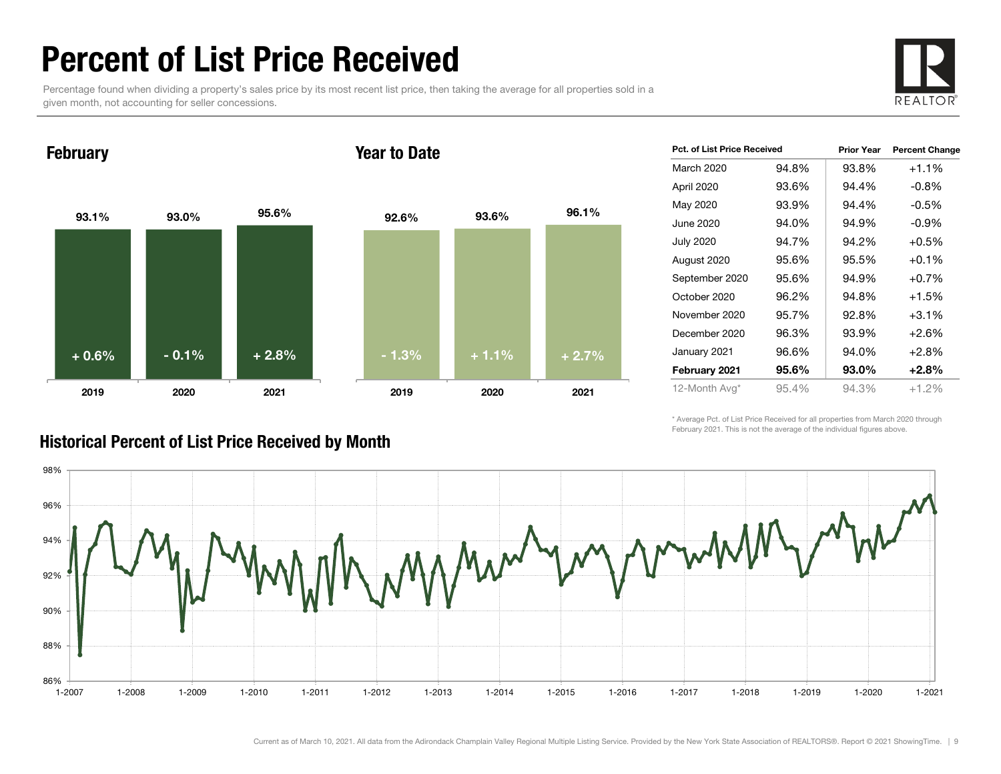### Percent of List Price Received

Percentage found when dividing a property's sales price by its most recent list price, then taking the average for all properties sold in a given month, not accounting for seller concessions.



February

#### Year to Date



| Pct. of List Price Received |       | <b>Prior Year</b> | <b>Percent Change</b> |
|-----------------------------|-------|-------------------|-----------------------|
| March 2020                  | 94.8% | 93.8%             | $+1.1%$               |
| April 2020                  | 93.6% | 94.4%             | $-0.8%$               |
| May 2020                    | 93.9% | 94.4%             | $-0.5%$               |
| June 2020                   | 94.0% | 94.9%             | $-0.9\%$              |
| July 2020                   | 94.7% | 94.2%             | $+0.5%$               |
| August 2020                 | 95.6% | 95.5%             | $+0.1%$               |
| September 2020              | 95.6% | 94.9%             | $+0.7%$               |
| October 2020                | 96.2% | 94.8%             | $+1.5%$               |
| November 2020               | 95.7% | 92.8%             | $+3.1%$               |
| December 2020               | 96.3% | 93.9%             | $+2.6%$               |
| January 2021                | 96.6% | 94.0%             | $+2.8%$               |
| February 2021               | 95.6% | 93.0%             | $+2.8%$               |
| 12-Month Avg*               | 95.4% | 94.3%             | $+1.2%$               |

\* Average Pct. of List Price Received for all properties from March 2020 through February 2021. This is not the average of the individual figures above.



### Historical Percent of List Price Received by Month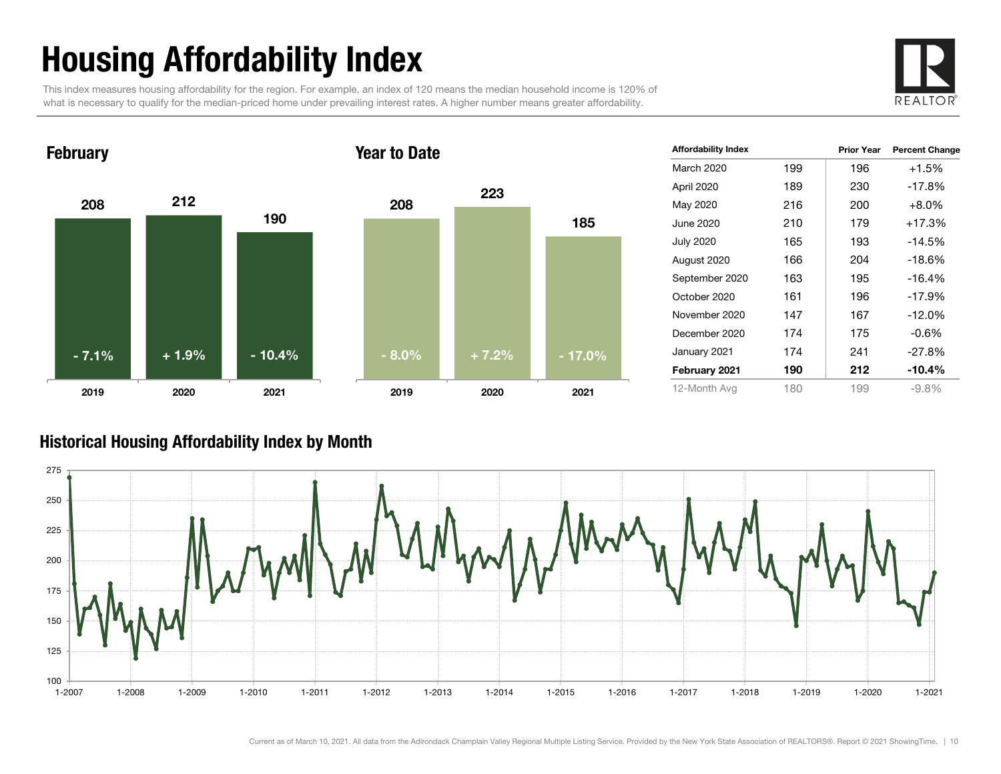# Housing Affordability Index

This index measures housing affordability for the region. For example, an index of 120 means the median household income is 120% of what is necessary to qualify for the median-priced home under prevailing interest rates. A higher number means greater affordability.





| <b>Affordability Index</b> |     | <b>Prior Year</b> | <b>Percent Change</b> |
|----------------------------|-----|-------------------|-----------------------|
| March 2020                 | 199 | 196               | $+1.5%$               |
| April 2020                 | 189 | 230               | $-17.8%$              |
| May 2020                   | 216 | 200               | $+8.0\%$              |
| June 2020                  | 210 | 179               | $+17.3%$              |
| <b>July 2020</b>           | 165 | 193               | -14.5%                |
| August 2020                | 166 | 204               | $-18.6%$              |
| September 2020             | 163 | 195               | $-16.4%$              |
| October 2020               | 161 | 196               | $-17.9%$              |
| November 2020              | 147 | 167               | $-12.0\%$             |
| December 2020              | 174 | 175               | $-0.6%$               |
| January 2021               | 174 | 241               | $-27.8%$              |
| February 2021              | 190 | 212               | $-10.4%$              |
| 12-Month Avg               | 180 | 199               | $-9.8\%$              |

#### Historical Housing Affordability Index by Mont h

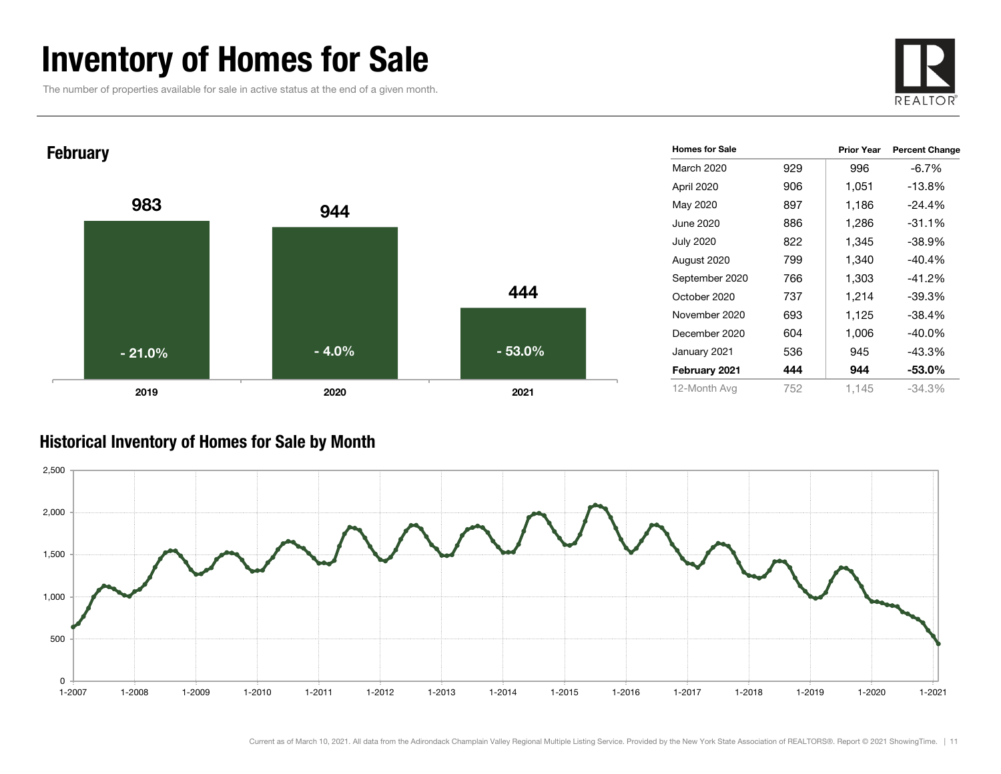### Inventory of Homes for Sale

The number of properties available for sale in active status at the end of a given month.





#### Historical Inventory of Homes for Sale by Month

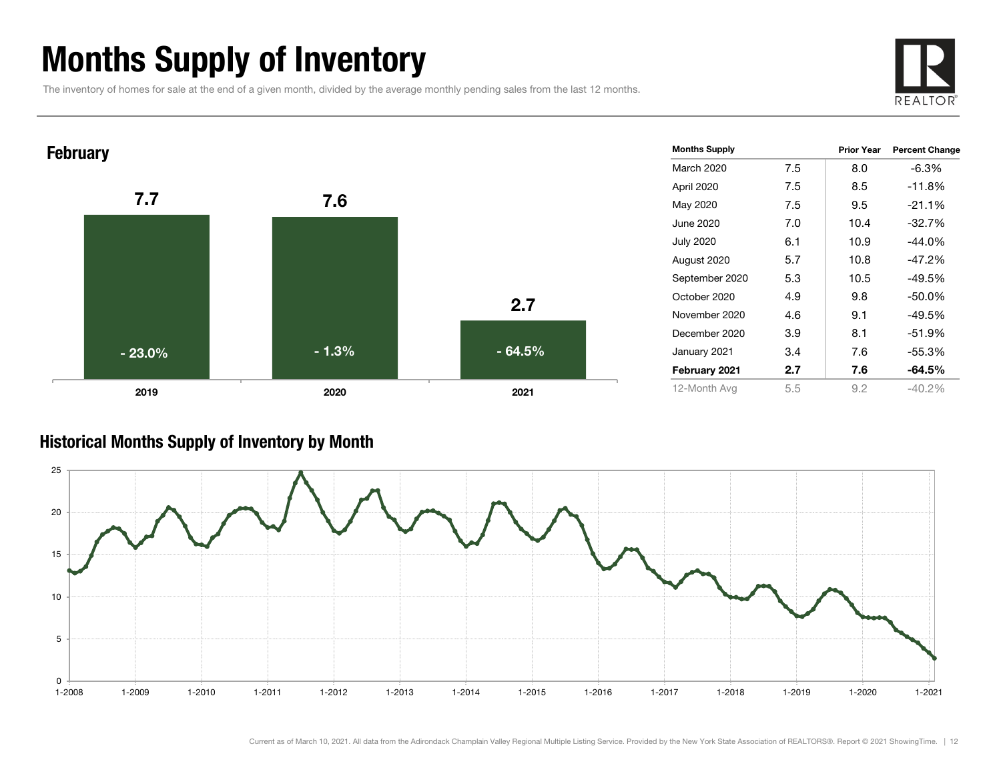### Months Supply of Inventory

The inventory of homes for sale at the end of a given month, divided by the average monthly pending sales from the last 12 months.





#### Historical Months Supply of Inventory by Month